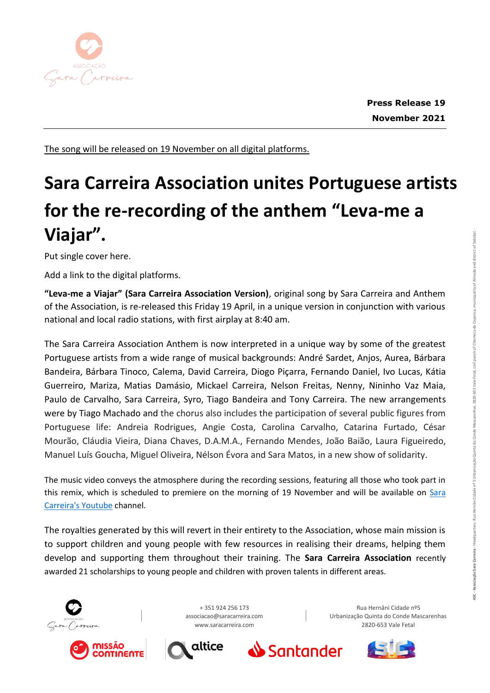

The song will be released on 19 November on all digital platforms.

## **Sara Carreira Association unites Portuguese artists for the re-recording of the anthem "Leva-me a Viajar".**

Put single cover here.

Add a link to the digital platforms.

**"Leva-me a Viajar" (Sara Carreira Association Version)**, original song by Sara Carreira and Anthem of the Association, is re-released this Friday 19 April, in a unique version in conjunction with various national and local radio stations, with first airplay at 8:40 am.

The Sara Carreira Association Anthem is now interpreted in a unique way by some of the greatest Portuguese artists from a wide range of musical backgrounds: André Sardet, Anjos, Aurea, Bárbara Bandeira, Bárbara Tinoco, Calema, David Carreira, Diogo Piçarra, Fernando Daniel, Ivo Lucas, Kátia Guerreiro, Mariza, Matias Damásio, Mickael Carreira, Nelson Freitas, Nenny, Nininho Vaz Maia, Paulo de Carvalho, Sara Carreira, Syro, Tiago Bandeira and Tony Carreira. The new arrangements were by Tiago Machado and the chorus also includes the participation of several public figures from Portuguese life: Andreia Rodrigues, Angie Costa, Carolina Carvalho, Catarina Furtado, César Mourão, Cláudia Vieira, Diana Chaves, D.A.M.A., Fernando Mendes, João Baião, Laura Figueiredo, Manuel Luís Goucha, Miguel Oliveira, Nélson Évora and Sara Matos, in a new show of solidarity.

The music video conveys the atmosphere during the recording sessions, featuring all those who took part in this remix, which is scheduled to premiere on the morning of 19 November and will be available on [Sara](https://www.youtube.com/channel/UCRyegT6gBm8qT9RY8EJ67jw)  [Carreira's Youtube](https://www.youtube.com/channel/UCRyegT6gBm8qT9RY8EJ67jw) channel.

The royalties generated by this will revert in their entirety to the Association, whose main mission is to support children and young people with few resources in realising their dreams, helping them develop and supporting them throughout their training. The **Sara Carreira Association** recently awarded 21 scholarships to young people and children with proven talents in different areas.







altice

Rua Hernâni Cidade nº5 Urbanização Quinta do Conde Mascarenhas 2820-653 Vale Fetal